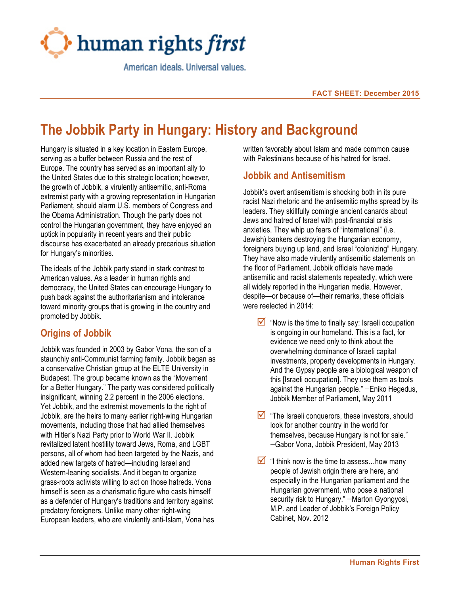

American ideals, Universal values,

# **The Jobbik Party in Hungary: History and Background**

Hungary is situated in a key location in Eastern Europe, serving as a buffer between Russia and the rest of Europe. The country has served as an important ally to the United States due to this strategic location; however, the growth of Jobbik, a virulently antisemitic, anti-Roma extremist party with a growing representation in Hungarian Parliament, should alarm U.S. members of Congress and the Obama Administration. Though the party does not control the Hungarian government, they have enjoyed an uptick in popularity in recent years and their public discourse has exacerbated an already precarious situation for Hungary's minorities.

The ideals of the Jobbik party stand in stark contrast to American values. As a leader in human rights and democracy, the United States can encourage Hungary to push back against the authoritarianism and intolerance toward minority groups that is growing in the country and promoted by Jobbik.

# **Origins of Jobbik**

Jobbik was founded in 2003 by Gabor Vona, the son of a staunchly anti-Communist farming family. Jobbik began as a conservative Christian group at the ELTE University in Budapest. The group became known as the "Movement for a Better Hungary." The party was considered politically insignificant, winning 2.2 percent in the 2006 elections. Yet Jobbik, and the extremist movements to the right of Jobbik, are the heirs to many earlier right-wing Hungarian movements, including those that had allied themselves with Hitler's Nazi Party prior to World War II. Jobbik revitalized latent hostility toward Jews, Roma, and LGBT persons, all of whom had been targeted by the Nazis, and added new targets of hatred—including Israel and Western-leaning socialists. And it began to organize grass-roots activists willing to act on those hatreds. Vona himself is seen as a charismatic figure who casts himself as a defender of Hungary's traditions and territory against predatory foreigners. Unlike many other right-wing European leaders, who are virulently anti-Islam, Vona has

written favorably about Islam and made common cause with Palestinians because of his hatred for Israel.

### **Jobbik and Antisemitism**

Jobbik's overt antisemitism is shocking both in its pure racist Nazi rhetoric and the antisemitic myths spread by its leaders. They skillfully comingle ancient canards about Jews and hatred of Israel with post-financial crisis anxieties. They whip up fears of "international" (i.e. Jewish) bankers destroying the Hungarian economy, foreigners buying up land, and Israel "colonizing" Hungary. They have also made virulently antisemitic statements on the floor of Parliament. Jobbik officials have made antisemitic and racist statements repeatedly, which were all widely reported in the Hungarian media. However, despite—or because of—their remarks, these officials were reelected in 2014:

- $\triangleright$  "Now is the time to finally say: Israeli occupation is ongoing in our homeland. This is a fact, for evidence we need only to think about the overwhelming dominance of Israeli capital investments, property developments in Hungary. And the Gypsy people are a biological weapon of this [Israeli occupation]. They use them as tools against the Hungarian people." −Eniko Hegedus, Jobbik Member of Parliament, May 2011
- $\triangledown$  "The Israeli conquerors, these investors, should look for another country in the world for themselves, because Hungary is not for sale." −Gabor Vona, Jobbik President, May 2013
- $\blacksquare$  "I think now is the time to assess... how many people of Jewish origin there are here, and especially in the Hungarian parliament and the Hungarian government, who pose a national security risk to Hungary." –Marton Gyongyosi, M.P. and Leader of Jobbik's Foreign Policy Cabinet, Nov. 2012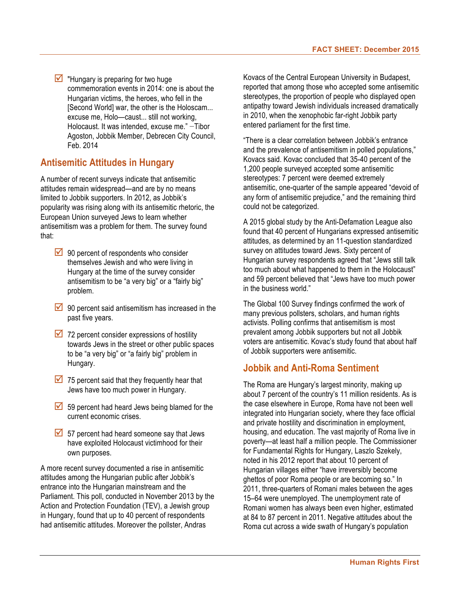$\triangleright$  "Hungary is preparing for two huge commemoration events in 2014: one is about the Hungarian victims, the heroes, who fell in the [Second World] war, the other is the Holoscam... excuse me, Holo—caust... still not working, Holocaust. It was intended, excuse me." −Tibor Agoston, Jobbik Member, Debrecen City Council, Feb. 2014

# **Antisemitic Attitudes in Hungary**

A number of recent surveys indicate that antisemitic attitudes remain widespread—and are by no means limited to Jobbik supporters. In 2012, as Jobbik's popularity was rising along with its antisemitic rhetoric, the European Union surveyed Jews to learn whether antisemitism was a problem for them. The survey found that:

- $\sqrt{90}$  percent of respondents who consider themselves Jewish and who were living in Hungary at the time of the survey consider antisemitism to be "a very big" or a "fairly big" problem.
- $\overline{\phantom{a}}$  90 percent said antisemitism has increased in the past five years.
- $\triangledown$  72 percent consider expressions of hostility towards Jews in the street or other public spaces to be "a very big" or "a fairly big" problem in Hungary.
- $\overline{9}$  75 percent said that they frequently hear that Jews have too much power in Hungary.
- $\overline{\phantom{a}}$  59 percent had heard Jews being blamed for the current economic crises.
- $\overline{\phantom{a}}$  57 percent had heard someone say that Jews have exploited Holocaust victimhood for their own purposes.

A more recent survey documented a rise in antisemitic attitudes among the Hungarian public after Jobbik's entrance into the Hungarian mainstream and the Parliament. This poll, conducted in November 2013 by the Action and Protection Foundation (TEV), a Jewish group in Hungary, found that up to 40 percent of respondents had antisemitic attitudes. Moreover the pollster, Andras

Kovacs of the Central European University in Budapest, reported that among those who accepted some antisemitic stereotypes, the proportion of people who displayed open antipathy toward Jewish individuals increased dramatically in 2010, when the xenophobic far-right Jobbik party entered parliament for the first time.

"There is a clear correlation between Jobbik's entrance and the prevalence of antisemitism in polled populations," Kovacs said. Kovac concluded that 35-40 percent of the 1,200 people surveyed accepted some antisemitic stereotypes: 7 percent were deemed extremely antisemitic, one-quarter of the sample appeared "devoid of any form of antisemitic prejudice," and the remaining third could not be categorized.

A 2015 global study by the Anti-Defamation League also found that 40 percent of Hungarians expressed antisemitic attitudes, as determined by an 11-question standardized survey on attitudes toward Jews. Sixty percent of Hungarian survey respondents agreed that "Jews still talk too much about what happened to them in the Holocaust" and 59 percent believed that "Jews have too much power in the business world."

The Global 100 Survey findings confirmed the work of many previous pollsters, scholars, and human rights activists. Polling confirms that antisemitism is most prevalent among Jobbik supporters but not all Jobbik voters are antisemitic. Kovac's study found that about half of Jobbik supporters were antisemitic.

# **Jobbik and Anti-Roma Sentiment**

The Roma are Hungary's largest minority, making up about 7 percent of the country's 11 million residents. As is the case elsewhere in Europe, Roma have not been well integrated into Hungarian society, where they face official and private hostility and discrimination in employment, housing, and education. The vast majority of Roma live in poverty—at least half a million people. The Commissioner for Fundamental Rights for Hungary, Laszlo Szekely, noted in his 2012 report that about 10 percent of Hungarian villages either "have irreversibly become ghettos of poor Roma people or are becoming so." In 2011, three-quarters of Romani males between the ages 15–64 were unemployed. The unemployment rate of Romani women has always been even higher, estimated at 84 to 87 percent in 2011. Negative attitudes about the Roma cut across a wide swath of Hungary's population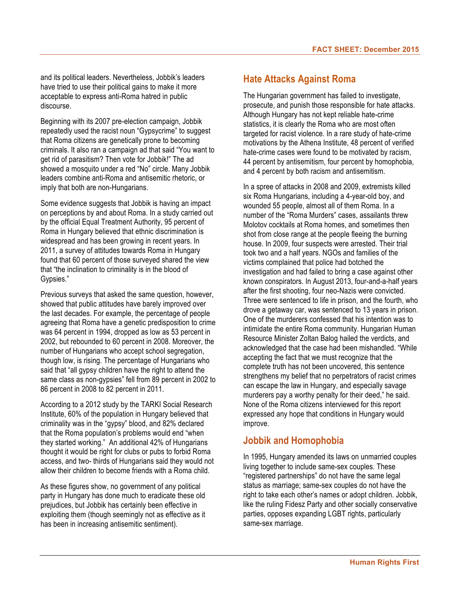and its political leaders. Nevertheless, Jobbik's leaders have tried to use their political gains to make it more acceptable to express anti-Roma hatred in public discourse.

Beginning with its 2007 pre-election campaign, Jobbik repeatedly used the racist noun "Gypsycrime" to suggest that Roma citizens are genetically prone to becoming criminals. It also ran a campaign ad that said "You want to get rid of parasitism? Then vote for Jobbik!" The ad showed a mosquito under a red "No" circle. Many Jobbik leaders combine anti-Roma and antisemitic rhetoric, or imply that both are non-Hungarians.

Some evidence suggests that Jobbik is having an impact on perceptions by and about Roma. In a study carried out by the official Equal Treatment Authority, 95 percent of Roma in Hungary believed that ethnic discrimination is widespread and has been growing in recent years. In 2011, a survey of attitudes towards Roma in Hungary found that 60 percent of those surveyed shared the view that "the inclination to criminality is in the blood of Gypsies."

Previous surveys that asked the same question, however, showed that public attitudes have barely improved over the last decades. For example, the percentage of people agreeing that Roma have a genetic predisposition to crime was 64 percent in 1994, dropped as low as 53 percent in 2002, but rebounded to 60 percent in 2008. Moreover, the number of Hungarians who accept school segregation, though low, is rising. The percentage of Hungarians who said that "all gypsy children have the right to attend the same class as non-gypsies" fell from 89 percent in 2002 to 86 percent in 2008 to 82 percent in 2011.

According to a 2012 study by the TARKI Social Research Institute, 60% of the population in Hungary believed that criminality was in the "gypsy" blood, and 82% declared that the Roma population's problems would end "when they started working." An additional 42% of Hungarians thought it would be right for clubs or pubs to forbid Roma access, and two- thirds of Hungarians said they would not allow their children to become friends with a Roma child.

As these figures show, no government of any political party in Hungary has done much to eradicate these old prejudices, but Jobbik has certainly been effective in exploiting them (though seemingly not as effective as it has been in increasing antisemitic sentiment).

## **Hate Attacks Against Roma**

The Hungarian government has failed to investigate, prosecute, and punish those responsible for hate attacks. Although Hungary has not kept reliable hate-crime statistics, it is clearly the Roma who are most often targeted for racist violence. In a rare study of hate-crime motivations by the Athena Institute, 48 percent of verified hate-crime cases were found to be motivated by racism, 44 percent by antisemitism, four percent by homophobia, and 4 percent by both racism and antisemitism.

In a spree of attacks in 2008 and 2009, extremists killed six Roma Hungarians, including a 4-year-old boy, and wounded 55 people, almost all of them Roma. In a number of the "Roma Murders" cases, assailants threw Molotov cocktails at Roma homes, and sometimes then shot from close range at the people fleeing the burning house. In 2009, four suspects were arrested. Their trial took two and a half years. NGOs and families of the victims complained that police had botched the investigation and had failed to bring a case against other known conspirators. In August 2013, four-and-a-half years after the first shooting, four neo-Nazis were convicted. Three were sentenced to life in prison, and the fourth, who drove a getaway car, was sentenced to 13 years in prison. One of the murderers confessed that his intention was to intimidate the entire Roma community. Hungarian Human Resource Minister Zoltan Balog hailed the verdicts, and acknowledged that the case had been mishandled. "While accepting the fact that we must recognize that the complete truth has not been uncovered, this sentence strengthens my belief that no perpetrators of racist crimes can escape the law in Hungary, and especially savage murderers pay a worthy penalty for their deed," he said. None of the Roma citizens interviewed for this report expressed any hope that conditions in Hungary would improve.

### **Jobbik and Homophobia**

In 1995, Hungary amended its laws on unmarried couples living together to include same-sex couples. These "registered partnerships" do not have the same legal status as marriage; same-sex couples do not have the right to take each other's names or adopt children. Jobbik, like the ruling Fidesz Party and other socially conservative parties, opposes expanding LGBT rights, particularly same-sex marriage.